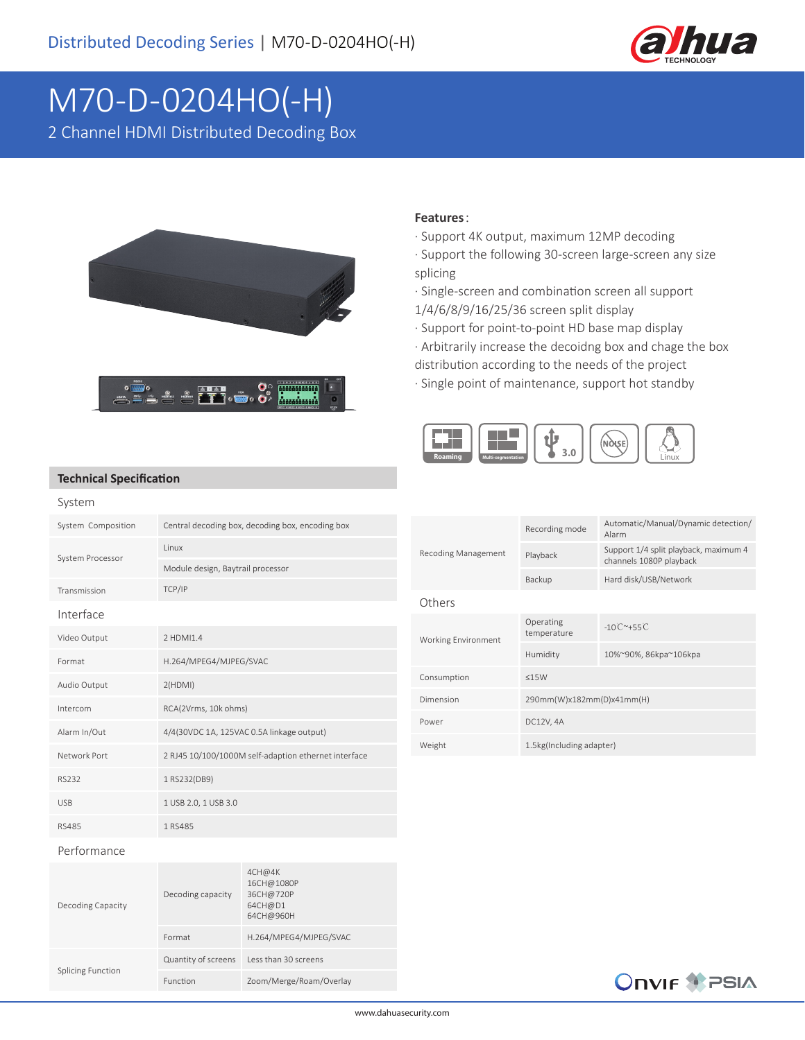

## M70-D-0204HO(-H)

2 Channel HDMI Distributed Decoding Box



## **Features**:

· Support 4K output, maximum 12MP decoding

- · Support the following 30-screen large-screen any size splicing
- · Single-screen and combination screen all support 1/4/6/8/9/16/25/36 screen split display
- · Support for point-to-point HD base map display
- · Arbitrarily increase the decoidng box and chage the box
- distribution according to the needs of the project
- · Single point of maintenance, support hot standby



## **Technical Specification**

| System             |                                                      |
|--------------------|------------------------------------------------------|
| System Composition | Central decoding box, decoding box, encoding box     |
| System Processor   | <b>linux</b>                                         |
|                    | Module design, Baytrail processor                    |
| Transmission       | TCP/IP                                               |
| Interface          |                                                      |
| Video Output       | 2 HDMI1.4                                            |
| Format             | H.264/MPEG4/MJPEG/SVAC                               |
| Audio Output       | 2(HDMI)                                              |
| Intercom           | RCA(2Vrms, 10k ohms)                                 |
| Alarm In/Out       | 4/4(30VDC 1A, 125VAC 0.5A linkage output)            |
| Network Port       | 2 RJ45 10/100/1000M self-adaption ethernet interface |
| RS232              | 1 RS232(DB9)                                         |
| <b>USB</b>         | 1 USB 2.0, 1 USB 3.0                                 |
| RS485              | 1 RS485                                              |

| Recoding Management | Recording mode            | Automatic/Manual/Dynamic detection/<br>Alarm                     |  |
|---------------------|---------------------------|------------------------------------------------------------------|--|
|                     | Playback                  | Support 1/4 split playback, maximum 4<br>channels 1080P playback |  |
|                     | Backup                    | Hard disk/USB/Network                                            |  |
| Others              |                           |                                                                  |  |
| Working Environment | Operating<br>temperature  | $-10^{\circ}$ $-155^{\circ}$                                     |  |
|                     | Humidity                  | 10%~90%, 86kpa~106kpa                                            |  |
| Consumption         | <15W                      |                                                                  |  |
| Dimension           | 290mm(W)x182mm(D)x41mm(H) |                                                                  |  |
| Power               | DC12V, 4A                 |                                                                  |  |
| Weight              | 1.5kg(Including adapter)  |                                                                  |  |

## Performance

| Decoding Capacity        | Decoding capacity   | 4CH@4K<br>16CH@1080P<br>36CH@720P<br>64CH@D1<br>64CH@960H |
|--------------------------|---------------------|-----------------------------------------------------------|
|                          | Format              | H.264/MPEG4/MJPEG/SVAC                                    |
| <b>Splicing Function</b> | Quantity of screens | Less than 30 screens                                      |
|                          | Function            | Zoom/Merge/Roam/Overlay                                   |